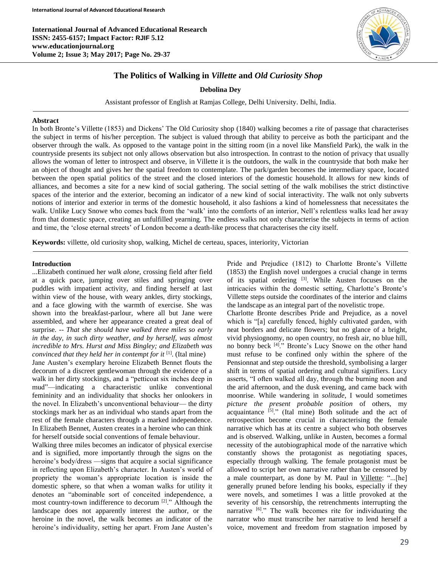**International Journal of Advanced Educational Research ISSN: 2455-6157; Impact Factor: RJIF 5.12 www.educationjournal.org Volume 2; Issue 3; May 2017; Page No. 29-37**



# **The Politics of Walking in** *Villette* **and** *Old Curiosity Shop*

### **Debolina Dey**

Assistant professor of English at Ramjas College, Delhi University. Delhi, India.

#### **Abstract**

In both Bronte's Villette (1853) and Dickens' The Old Curiosity shop (1840) walking becomes a rite of passage that characterises the subject in terms of his/her perception. The subject is valued through that ability to perceive as both the participant and the observer through the walk. As opposed to the vantage point in the sitting room (in a novel like Mansfield Park), the walk in the countryside presents its subject not only allows observation but also introspection. In contrast to the notion of privacy that usually allows the woman of letter to introspect and observe, in Villette it is the outdoors, the walk in the countryside that both make her an object of thought and gives her the spatial freedom to contemplate. The park/garden becomes the intermediary space, located between the open spatial politics of the street and the closed interiors of the domestic household. It allows for new kinds of alliances, and becomes a site for a new kind of social gathering. The social setting of the walk mobilises the strict distinctive spaces of the interior and the exterior, becoming an indicator of a new kind of social interactivity. The walk not only subverts notions of interior and exterior in terms of the domestic household, it also fashions a kind of homelessness that necessitates the walk. Unlike Lucy Snowe who comes back from the 'walk' into the comforts of an interior, Nell's relentless walks lead her away from that domestic space, creating an unfulfilled yearning. The endless walks not only characterise the subjects in terms of action and time, the 'close eternal streets' of London become a death-like process that characterises the city itself.

**Keywords:** villette, old curiosity shop, walking, Michel de certeau, spaces, interiority, Victorian

### **Introduction**

...Elizabeth continued her *walk alone,* crossing field after field at a quick pace, jumping over stiles and springing over puddles with impatient activity, and finding herself at last within view of the house, with weary ankles, dirty stockings, and a face glowing with the warmth of exercise. She was shown into the breakfast-parlour, where all but Jane were assembled, and where her appearance created a great deal of surprise. *-- That she should have walked three miles so early in the day, in such dirty weather, and by herself, was almost incredible to Mrs. Hurst and Miss Bingley; and Elizabeth was convinced that they held her in contempt for it* <sup>[1]</sup>. (Ital mine)

Jane Austen's exemplary heroine Elizabeth Bennet flouts the decorum of a discreet gentlewoman through the evidence of a walk in her dirty stockings, and a "petticoat six inches deep in mud"—indicating a characteristic unlike conventional femininity and an individuality that shocks her onlookers in the novel. In Elizabeth's unconventional behaviour— the dirty stockings mark her as an individual who stands apart from the rest of the female characters through a marked independence. In Elizabeth Bennet, Austen creates in a heroine who can think for herself outside social conventions of female behaviour.

Walking three miles becomes an indicator of physical exercise and is signified, more importantly through the signs on the heroine's body/dress —signs that acquire a social significance in reflecting upon Elizabeth's character. In Austen's world of propriety the woman's appropriate location is inside the domestic sphere, so that when a woman walks for utility it denotes an "abominable sort of conceited independence, a most country-town indifference to decorum [2]." Although the landscape does not apparently interest the author, or the heroine in the novel, the walk becomes an indicator of the heroine's individuality, setting her apart. From Jane Austen's

Pride and Prejudice (1812) to Charlotte Bronte's Villette (1853) the English novel undergoes a crucial change in terms of its spatial ordering <sup>[3]</sup>. While Austen focuses on the intricacies within the domestic setting, Charlotte's Bronte's Villette steps outside the coordinates of the interior and claims the landscape as an integral part of the novelistic trope.

Charlotte Bronte describes Pride and Prejudice, as a novel which is "[a] carefully fenced, highly cultivated garden, with neat borders and delicate flowers; but no glance of a bright, vivid physiognomy, no open country, no fresh air, no blue hill, no bonny beck [4]." Bronte's Lucy Snowe on the other hand must refuse to be confined only within the sphere of the Pensionnat and step outside the threshold, symbolising a larger shift in terms of spatial ordering and cultural signifiers. Lucy asserts, "I often walked all day, through the burning noon and the arid afternoon, and the dusk evening, and came back with moonrise. While wandering in *solitude*, I would sometimes *picture the present probable position* of others, my acquaintance  $[5]$ ." (Ital mine) Both solitude and the act of retrospection become crucial in characterising the female narrative which has at its centre a subject who both observes and is observed. Walking, unlike in Austen, becomes a formal necessity of the autobiographical mode of the narrative which constantly shows the protagonist as negotiating spaces, especially through walking. The female protagonist must be allowed to script her own narrative rather than be censored by a male counterpart, as done by M. Paul in Villette: "...[he] generally pruned before lending his books, especially if they were novels, and sometimes I was a little provoked at the severity of his censorship, the retrenchments interrupting the narrative <sup>[6]</sup>." The walk becomes rite for individuating the narrator who must transcribe her narrative to lend herself a voice, movement and freedom from stagnation imposed by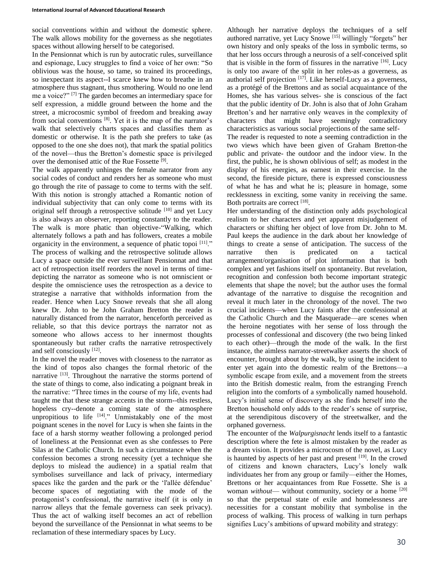social conventions within and without the domestic sphere. The walk allows mobility for the governess as she negotiates spaces without allowing herself to be categorised.

In the Pensionnat which is run by autocratic rules, surveillance and espionage, Lucy struggles to find a voice of her own: "So oblivious was the house, so tame, so trained its proceedings, so inexpectant its aspect--I scarce knew how to breathe in an atmosphere thus stagnant, thus smothering. Would no one lend me a voice?" [7] The garden becomes an intermediary space for self expression, a middle ground between the home and the street, a microcosmic symbol of freedom and breaking away from social conventions <sup>[8]</sup>. Yet it is the map of the narrator's walk that selectively charts spaces and classifies them as domestic or otherwise. It is the path she prefers to take (as opposed to the one she does not), that mark the spatial politics of the novel—thus the Bretton's domestic space is privileged over the demonised attic of the Rue Fossette [9].

The walk apparently unhinges the female narrator from any social codes of conduct and renders her as someone who must go through the rite of passage to come to terms with the self. With this notion is strongly attached a Romantic notion of individual subjectivity that can only come to terms with its original self through a retrospective solitude [10] and yet Lucy is also always an observer, reporting constantly to the reader. The walk is more phatic than objective-"Walking, which alternately follows a path and has followers, creates a mobile organicity in the environment, a sequence of phatic topoi [11]." The process of walking and the retrospective solitude allows Lucy a space outside the ever surveillant Pensionnat and that act of retrospection itself reorders the novel in terms of timedepicting the narrator as someone who is not omniscient or despite the omniscience uses the retrospection as a device to strategise a narrative that withholds information from the reader. Hence when Lucy Snowe reveals that she all along knew Dr. John to be John Graham Bretton the reader is naturally distanced from the narrator, henceforth perceived as reliable, so that this device portrays the narrator not as someone who allows access to her innermost thoughts spontaneously but rather crafts the narrative retrospectively and self consciously [12].

In the novel the reader moves with closeness to the narrator as the kind of topos also changes the formal rhetoric of the narrative [13]. Throughout the narrative the storms portend of the state of things to come, also indicating a poignant break in the narrative: "Three times in the course of my life, events had taught me that these strange accents in the storm--this restless, hopeless cry--denote a coming state of the atmosphere unpropitious to life [14]." Unmistakably one of the most poignant scenes in the novel for Lucy is when she faints in the face of a harsh stormy weather following a prolonged period of loneliness at the Pensionnat even as she confesses to Pere Silas at the Catholic Church. In such a circumstance when the confession becomes a strong necessity (yet a technique she deploys to mislead the audience) in a spatial realm that symbolises surveillance and lack of privacy, intermediary spaces like the garden and the park or the 'l'allée défendue' become spaces of negotiating with the mode of the protagonist's confessional, the narrative itself (it is only in narrow alleys that the female governess can seek privacy). Thus the act of walking itself becomes an act of rebellion beyond the surveillance of the Pensionnat in what seems to be reclamation of these intermediary spaces by Lucy.

Although her narrative deploys the techniques of a self authored narrative, yet Lucy Snowe [15] willingly "forgets" her own history and only speaks of the loss in symbolic terms, so that her loss occurs through a neurosis of a self-conceived split that is visible in the form of fissures in the narrative  $[16]$ . Lucy is only too aware of the split in her roles-as a governess, as authorial self projection [17]. Like herself-Lucy as a governess, as a protégé of the Brettons and as social acquaintance of the Homes, she has various selves- she is conscious of the fact that the public identity of Dr. John is also that of John Graham Bretton's and her narrative only weaves in the complexity of characters that might have seemingly contradictory characteristics as various social projections of the same self-The reader is requested to note a seeming contradiction in the

two views which have been given of Graham Bretton-the public and private- the outdoor and the indoor view. In the first, the public, he is shown oblivious of self; as modest in the display of his energies, as earnest in their exercise. In the second, the fireside picture, there is expressed consciousness of what he has and what he is; pleasure in homage, some recklessness in exciting, some vanity in receiving the same. Both portraits are correct [18].

Her understanding of the distinction only adds psychological realism to her characters and yet apparent misjudgement of characters or shifting her object of love from Dr. John to M. Paul keeps the audience in the dark about her knowledge of things to create a sense of anticipation. The success of the narrative then is predicated on a tactical arrangement/organisation of plot information that is both complex and yet fashions itself on spontaneity. But revelation, recognition and confession both become important strategic elements that shape the novel; but the author uses the formal advantage of the narrative to disguise the recognition and reveal it much later in the chronology of the novel. The two crucial incidents—when Lucy faints after the confessional at the Catholic Church and the Masquerade—are scenes when the heroine negotiates with her sense of loss through the processes of confessional and discovery (the two being linked to each other)—through the mode of the walk. In the first instance, the aimless narrator-streetwalker asserts the shock of encounter, brought about by the walk, by using the incident to enter yet again into the domestic realm of the Brettons—a symbolic escape from exile, and a movement from the streets into the British domestic realm, from the estranging French religion into the comforts of a symbolically named household. Lucy's initial sense of discovery as she finds herself into the Bretton household only adds to the reader's sense of surprise, at the serendipitous discovery of the streetwalker, and the orphaned governess.

The encounter of the *Walpurgisnacht* lends itself to a fantastic description where the fete is almost mistaken by the reader as a dream vision. It provides a microcosm of the novel, as Lucy is haunted by aspects of her past and present [19]. In the crowd of citizens and known characters, Lucy's lonely walk individuates her from any group or family—either the Homes, Brettons or her acquaintances from Rue Fossette. She is a woman *without*— without community, society or a home <sup>[20]</sup> so that the perpetual state of exile and homelessness are necessities for a constant mobility that symbolise in the process of walking. This process of walking in turn perhaps signifies Lucy's ambitions of upward mobility and strategy: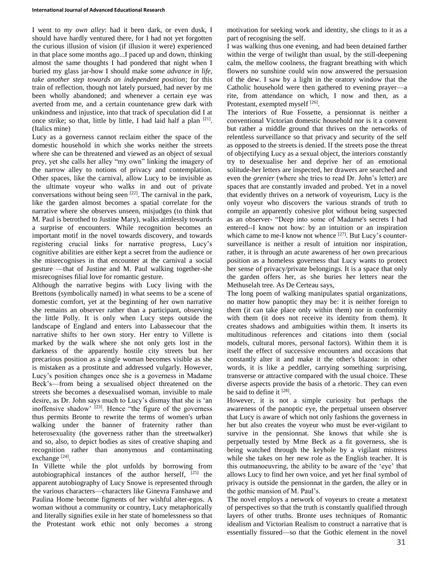I went to *my own alley*: had it been dark, or even dusk, I should have hardly ventured there, for I had not yet forgotten the curious illusion of vision (if illusion it were) experienced in that place some months ago...I paced up and down, thinking almost the same thoughts I had pondered that night when I buried my glass jar-how I should make *some advance in life, take another step towards an independent position*; for this train of reflection, though not lately pursued, had never by me been wholly abandoned; and whenever a certain eye was averted from me, and a certain countenance grew dark with unkindness and injustice, into that track of speculation did I at once strike; so that, little by little, I had laid half a plan  $[21]$ . (Italics mine)

Lucy as a governess cannot reclaim either the space of the domestic household in which she works neither the streets where she can be threatened and viewed as an object of sexual prey, yet she calls her alley "my own" linking the imagery of the narrow alley to notions of privacy and contemplation. Other spaces, like the carnival, allow Lucy to be invisible as the ultimate voyeur who walks in and out of private conversations without being seen  $[22]$ . The carnival in the park, like the garden almost becomes a spatial correlate for the narrative where she observes unseen, misjudges (to think that M. Paul is betrothed to Justine Mary), walks aimlessly towards a surprise of encounters. While recognition becomes an important motif in the novel towards discovery, and towards registering crucial links for narrative progress, Lucy's cognitive abilities are either kept a secret from the audience or she misrecognises in that encounter at the carnival a social gesture —that of Justine and M. Paul walking together-she misrecognises filial love for romantic gesture.

Although the narrative begins with Lucy living with the Brettons (symbolically named) in what seems to be a scene of domestic comfort, yet at the beginning of her own narrative she remains an observer rather than a participant, observing the little Polly. It is only when Lucy steps outside the landscape of England and enters into Labassecour that the narrative shifts to her own story. Her entry to Villette is marked by the walk where she not only gets lost in the darkness of the apparently hostile city streets but her precarious position as a single woman becomes visible as she is mistaken as a prostitute and addressed vulgarly. However, Lucy's position changes once she is a governess in Madame Beck's—from being a sexualised object threatened on the streets she becomes a desexualised woman, invisible to male desire, as Dr. John says much to Lucy's dismay that she is 'an inoffensive shadow' [23]. Hence "the figure of the governess thus permits Bronte to rewrite the terms of women's urban walking under the banner of fraternity rather than heterosexuality (the governess rather than the streetwalker) and so, also, to depict bodies as sites of creative shaping and recognition rather than anonymous and contaminating exchange<sup>[24]</sup>.

In Villette while the plot unfolds by borrowing from autobiographical instances of the author herself,  $[25]$  the apparent autobiography of Lucy Snowe is represented through the various characters—characters like Ginevra Fanshawe and Paulina Home become figments of her wishful alter-egos. A woman without a community or country, Lucy metaphorically and literally signifies exile in her state of homelessness so that the Protestant work ethic not only becomes a strong

motivation for seeking work and identity, she clings to it as a part of recognising the self.

I was walking thus one evening, and had been detained farther within the verge of twilight than usual, by the still-deepening calm, the mellow coolness, the fragrant breathing with which flowers no sunshine could win now answered the persuasion of the dew. I saw by a light in the oratory window that the Catholic household were then gathered to evening prayer—a rite, from attendance on which, I now and then, as a Protestant, exempted myself<sup>[26]</sup>.

The interiors of Rue Fossette, a pensionnat is neither a conventional Victorian domestic household nor is it a convent but rather a middle ground that thrives on the networks of relentless surveillance so that privacy and security of the self as opposed to the streets is denied. If the streets pose the threat of objectifying Lucy as a sexual object, the interiors constantly try to desexualise her and deprive her of an emotional solitude-her letters are inspected, her drawers are searched and even the *grenier* (where she tries to read Dr. John's letter) are spaces that are constantly invaded and probed. Yet in a novel that evidently thrives on a network of voyeurism, Lucy is the only voyeur who discovers the various strands of truth to compile an apparently cohesive plot without being suspected as an observer- "Deep into some of Madame's secrets I had entered--I know not how: by an intuition or an inspiration which came to me-I know not whence <sup>[27]</sup>. But Lucy's countersurveillance is neither a result of intuition nor inspiration, rather, it is through an acute awareness of her own precarious position as a homeless governess that Lucy wants to protect her sense of privacy/private belongings. It is a space that only the garden offers her, as she buries her letters near the Methuselah tree. As De Certeau says,

The long poem of walking manipulates spatial organizations, no matter how panoptic they may be: it is neither foreign to them (it can take place only within them) nor in conformity with them (it does not receive its identity from them). It creates shadows and ambiguities within them. It inserts its multitudinous references and citations into them (social models, cultural mores, personal factors). Within them it is itself the effect of successive encounters and occasions that constantly alter it and make it the other's blazon: in other words, it is like a peddler, carrying something surprising, transverse or attractive compared with the usual choice. These diverse aspects provide the basis of a rhetoric. They can even be said to define it [28].

However, it is not a simple curiosity but perhaps the awareness of the panoptic eye, the perpetual unseen observer that Lucy is aware of which not only fashions the governess in her but also creates the voyeur who must be ever-vigilant to survive in the pensionnat. She knows that while she is perpetually tested by Mme Beck as a fit governess, she is being watched through the keyhole by a vigilant mistress while she takes on her new role as the English teacher. It is this outmanoeuvring, the ability to be aware of the 'eye' that allows Lucy to find her own voice, and yet her final symbol of privacy is outside the pensionnat in the garden, the alley or in the gothic mansion of M. Paul's.

The novel employs a network of voyeurs to create a metatext of perspectives so that the truth is constantly qualified through layers of other truths. Bronte uses techniques of Romantic idealism and Victorian Realism to construct a narrative that is essentially fissured—so that the Gothic element in the novel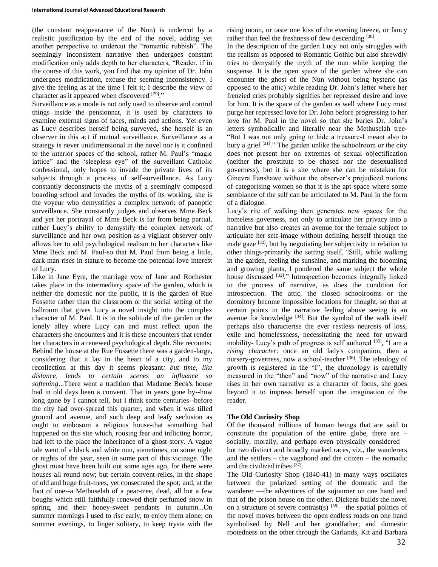(the constant reappearance of the Nun) is undercut by a realistic justification by the end of the novel, adding yet another perspective to undercut the "romantic rubbish". The seemingly inconsistent narrative then undergoes constant modification only adds depth to her characters, "Reader, if in the course of this work, you find that my opinion of Dr. John undergoes modification, excuse the seeming inconsistency. I give the feeling as at the time I felt it; I describe the view of character as it appeared when discovered [29]."

Surveillance as a mode is not only used to observe and control things inside the pensionnat, it is used by characters to examine external signs of faces, minds and actions. Yet even as Lucy describes herself being surveyed, she herself is an observer in this act if mutual surveillance. Surveillance as a strategy is never unidimensional in the novel nor is it confined to the interior spaces of the school, rather M. Paul's "magic lattice" and the 'sleepless eye" of the surveillant Catholic confessional, only hopes to invade the private lives of its subjects through a process of self-surveillance. As Lucy constantly deconstructs the myths of a seemingly composed boarding school and invades the myths of its working, she is the voyeur who demystifies a complex network of panoptic surveillance. She constantly judges and observes Mme Beck and yet her portrayal of Mme Beck is far from being partial, rather Lucy's ability to demystify the complex network of surveillance and her own position as a vigilant observer only allows her to add psychological realism to her characters like Mme Beck and M. Paul-so that M. Paul from being a little, dark man rises in stature to become the potential love interest of Lucy.

Like in Jane Eyre, the marriage vow of Jane and Rochester takes place in the intermediary space of the garden, which is neither the domestic nor the public, it is the garden of Rue Fossette rather than the classroom or the social setting of the ballroom that gives Lucy a novel insight into the complex character of M. Paul. It is in the solitude of the garden or the lonely alley where Lucy can and must reflect upon the characters she encounters and it is these encounters that render her characters in a renewed psychological depth. She recounts: Behind the house at the Rue Fossette there was a garden-large, considering that it lay in the heart of a city, and to my recollection at this day it seems pleasant*: but time, like distance, lends to certain scenes an influence so softening*...There went a tradition that Madame Beck's house had in old days been a convent. That in years gone by--how long gone by I cannot tell, but I think some centuries--before the city had over-spread this quarter, and when it was tilled ground and avenue, and such deep and leafy seclusion as ought to embosom a religious house-that something had happened on this site which, rousing fear and inflicting horror, had left to the place the inheritance of a ghost-story. A vague tale went of a black and white nun, sometimes, on some night or nights of the year, seen in some part of this vicinage. The ghost must have been built out some ages ago, for there were houses all round now; but certain convent-relics, in the shape of old and huge fruit-trees, yet consecrated the spot; and, at the foot of one--a Methuselah of a pear-tree, dead, all but a few boughs which still faithfully renewed their perfumed snow in spring, and their honey-sweet pendants in autumn...On summer mornings I used to rise early, to enjoy them alone; on summer evenings, to linger solitary, to keep tryste with the

rising moon, or taste one kiss of the evening breeze, or fancy rather than feel the freshness of dew descending [30].

In the description of the garden Lucy not only struggles with the realism as opposed to Romantic Gothic but also shrewdly tries to demystify the myth of the nun while keeping the suspense. It is the open space of the garden where she can encounter the ghost of the Nun without being hysteric (as opposed to the attic) while reading Dr. John's letter where her frenzied cries probably signifies her repressed desire and love for him. It is the space of the garden as well where Lucy must purge her repressed love for Dr. John before progressing to her love for M. Paul in the novel so that she buries Dr. John's letters symbolically and literally near the Methuselah tree- "But I was not only going to hide a treasure-I meant also to bury a grief [31]." The garden unlike the schoolroom or the city does not present her on extremes of sexual objectification (neither the prostitute to be chased nor the desexualised governess), but it is a site where she can be mistaken for Ginevra Fanshawe without the observer's prejudiced notions of categorising women so that it is the apt space where some semblance of the self can be articulated to M. Paul in the form of a dialogue.

Lucy's rite of walking then generates new spaces for the homeless governess, not only to articulate her privacy into a narrative but also creates an avenue for the female subject to articulate her self-image without defining herself through the male gaze  $[32]$ , but by negotiating her subjectivity in relation to other things-primarily the setting itself, "Still, while walking in the garden, feeling the sunshine, and marking the blooming and growing plants, I pondered the same subject the whole house discussed <sup>[33]</sup>." Introspection becomes integrally linked to the process of narrative, as does the condition for introspection. The attic, the closed schoolrooms or the dormitory become impossible locations for thought, so that at certain points in the narrative feeling above seeing is an avenue for knowledge [34]. But the symbol of the walk itself perhaps also characterise the ever restless neurosis of loss, exile and homelessness, necessitating the need for upward mobility- Lucy's path of progress is self authored [35], "I am a *rising character*: once an old lady's companion, then a nursery-governess, now a school-teacher [36]. The teleology of growth is registered in the "I", the chronology is carefully measured in the "then" and "now" of the narrative and Lucy rises in her own narrative as a character of focus, she goes beyond it to impress herself upon the imagination of the reader.

### **The Old Curiosity Shop**

Of the thousand millions of human beings that are said to constitute the population of the entire globe, there are – socially, morally, and perhaps even physically considered but two distinct and broadly marked races, viz., the wanderers and the settlers – the vagabond and the citizen – the nomadic and the civilized tribes [37].

The Old Curiosity Shop (1840-41) in many ways oscillates between the polarized setting of the domestic and the wanderer —the adventures of the sojourner on one hand and that of the prison house on the other. Dickens builds the novel on a structure of severe contrast(s) [38]—the spatial politics of the novel moves between the open endless roads on one hand symbolised by Nell and her grandfather; and domestic rootedness on the other through the Garlands, Kit and Barbara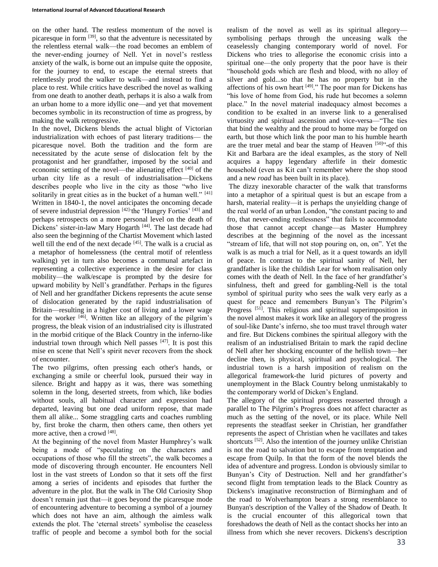on the other hand. The restless momentum of the novel is picaresque in form [39], so that the adventure is necessitated by the relentless eternal walk—the road becomes an emblem of the never-ending journey of Nell. Yet in novel's restless anxiety of the walk, is borne out an impulse quite the opposite, for the journey to end, to escape the eternal streets that relentlessly prod the walker to walk—and instead to find a place to rest. While critics have described the novel as walking from one death to another death, perhaps it is also a walk from an urban home to a more idyllic one—and yet that movement becomes symbolic in its reconstruction of time as progress, by making the walk retrogressive.

In the novel, Dickens blends the actual blight of Victorian industrialization with echoes of past literary traditions— the picaresque novel. Both the tradition and the form are necessitated by the acute sense of dislocation felt by the protagonist and her grandfather, imposed by the social and economic setting of the novel—the alienating effect  $[40]$  of the urban city life as a result of industrialisation—Dickens describes people who live in the city as those "who live solitarily in great cities as in the bucket of a human well."  $[41]$ Written in 1840-1, the novel anticipates the oncoming decade of severe industrial depression [42]-the 'Hungry Forties' [43] and perhaps retrospects on a more personal level on the death of Dickens' sister-in-law Mary Hogarth<sup>[44]</sup>. The last decade had also seen the beginning of the Chartist Movement which lasted well till the end of the next decade [45]. The walk is a crucial as a metaphor of homelessness (the central motif of relentless walking) yet in turn also becomes a communal artefact in representing a collective experience in the desire for class mobility—the walk/escape is prompted by the desire for upward mobility by Nell's grandfather. Perhaps in the figures of Nell and her grandfather Dickens represents the acute sense of dislocation generated by the rapid industrialisation of Britain—resulting in a higher cost of living and a lower wage for the worker <sup>[46]</sup>. Written like an allegory of the pilgrim's progress, the bleak vision of an industrialised city is illustrated in the morbid critique of the Black Country in the inferno-like industrial town through which Nell passes  $[47]$ . It is post this mise en scene that Nell's spirit never recovers from the shock of encounter.

The two pilgrims, often pressing each other's hands, or exchanging a smile or cheerful look, pursued their way in silence. Bright and happy as it was, there was something solemn in the long, deserted streets, from which, like bodies without souls, all habitual character and expression had departed, leaving but one dead uniform repose, that made them all alike... Some straggling carts and coaches rumbling by, first broke the charm, then others came, then others yet more active, then a crowd [48].

At the beginning of the novel from Master Humphrey's walk being a mode of "speculating on the characters and occupations of those who fill the streets", the walk becomes a mode of discovering through encounter. He encounters Nell lost in the vast streets of London so that it sets off the first among a series of incidents and episodes that further the adventure in the plot. But the walk in The Old Curiosity Shop doesn't remain just that—it goes beyond the picaresque mode of encountering adventure to becoming a symbol of a journey which does not have an aim, although the aimless walk extends the plot. The 'eternal streets' symbolise the ceaseless traffic of people and become a symbol both for the social

realism of the novel as well as its spiritual allegory symbolising perhaps through the unceasing walk the ceaselessly changing contemporary world of novel. For Dickens who tries to allegorise the economic crisis into a spiritual one—the only property that the poor have is their "household gods which are flesh and blood, with no alloy of silver and gold...so that he has no property but in the affections of his own heart  $[49]$ ." The poor man for Dickens has "his love of home from God, his rude hut becomes a solemn place." In the novel material inadequacy almost becomes a condition to be exalted in an inverse link to a generalised virtuosity and spiritual ascension and vice-versa—"The ties that bind the wealthy and the proud to home may be forged on earth, but those which link the poor man to his humble hearth are the truer metal and bear the stamp of Heaven [50]<sup>31</sup>-of this Kit and Barbara are the ideal examples, as the story of Nell acquires a happy legendary afterlife in their domestic household (even as Kit can't remember where the shop stood and a new *road* has been built in its place).

The dizzy inexorable character of the walk that transforms into a metaphor of a spiritual quest is but an escape from a harsh, material reality—it is perhaps the unyielding change of the real world of an urban London, "the constant pacing to and fro, that never-ending restlessness" that fails to accommodate those that cannot accept change—as Master Humphrey describes at the beginning of the novel as the incessant "stream of life, that will not stop pouring on, on, on". Yet the walk is as much a trial for Nell, as it a quest towards an idyll of peace. In contrast to the spiritual sanity of Nell, her grandfather is like the childish Lear for whom realisation only comes with the death of Nell. In the face of her grandfather's sinfulness, theft and greed for gambling-Nell is the total symbol of spiritual purity who sees the walk very early as a quest for peace and remembers Bunyan's The Pilgrim's Progress<sup>[51]</sup>. This religious and spiritual superimposition in the novel almost makes it work like an allegory of the progress of soul-like Dante's inferno, she too must travel through water and fire. But Dickens combines the spiritual allegory with the realism of an industrialised Britain to mark the rapid decline of Nell after her shocking encounter of the hellish town—her decline then, is physical, spiritual and psychological. The industrial town is a harsh imposition of realism on the allegorical framework-the lurid pictures of poverty and unemployment in the Black Country belong unmistakably to the contemporary world of Dicken's England.

The allegory of the spiritual progress reasserted through a parallel to The Pilgrim's Progress does not affect character as much as the setting of the novel, or its place. While Nell represents the steadfast seeker in Christian, her grandfather represents the aspect of Christian when he vacillates and takes shortcuts <sup>[52]</sup>. Also the intention of the journey unlike Christian is not the road to salvation but to escape from temptation and escape from Quilp. In that the form of the novel blends the idea of adventure and progress. London is obviously similar to Bunyan's City of Destruction. Nell and her grandfather's second flight from temptation leads to the Black Country as Dickens's imaginative reconstruction of Birmingham and of the road to Wolverhampton bears a strong resemblance to Bunyan's description of the Valley of the Shadow of Death. It is the crucial encounter of this allegorical town that foreshadows the death of Nell as the contact shocks her into an illness from which she never recovers. Dickens's description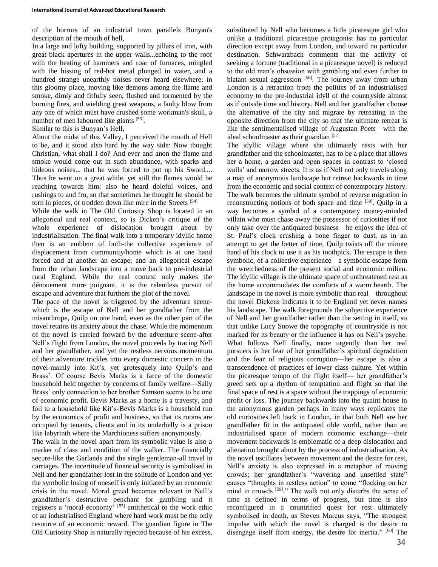of the horrors of an industrial town parallels Bunyan's description of the mouth of hell,

In a large and lofty building, supported by pillars of iron, with great black apertures in the upper walls...echoing to the roof with the beating of hammers and roar of furnaces, mingled with the hissing of red-hot metal plunged in water, and a hundred strange unearthly noises never heard elsewhere; in this gloomy place, moving like demons among the flame and smoke, dimly and fitfully seen, flushed and tormented by the burning fires, and wielding great weapons, a faulty blow from any one of which must have crushed some workman's skull, a number of men laboured like giants [53].

Similar to this is Bunyan's Hell,

About the midst of this Valley, I perceived the mouth of Hell to be, and it stood also hard by the way side: Now thought Christian, what shall I do? And ever and anon the flame and smoke would come out in such abundance, with sparks and hideous noises... that he was forced to put up his Sword.... Thus he went on a great while, yet still the flames would be reaching towards him: also he heard doleful voices, and rushings to and fro, so that sometimes he thought he should be torn in pieces, or trodden down like mire in the Streets [54]

While the walk in The Old Curiosity Shop is located in an allegorical and real context, so is Dicken's critique of the whole experience of dislocation brought about by industrialisation. The final walk into a temporary idyllic home then is an emblem of both-the collective experience of displacement from community/home which is at one hand forced and at another an escape; and an allegorical escape from the urban landscape into a move back to pre-industrial rural England. While the real context only makes the dénouement more poignant, it is the relentless pursuit of escape and adventure that furthers the plot of the novel.

The pace of the novel is triggered by the adventure scenewhich is the escape of Nell and her grandfather from the misanthrope, Quilp on one hand, even as the other part of the novel retains its anxiety about the chase. While the momentum of the novel is carried forward by the adventure scene-after Nell's flight from London, the novel proceeds by tracing Nell and her grandfather, and yet the restless nervous momentum of their adventure trickles into every domestic concern in the novel-mainly into Kit's, yet grotesquely into Quilp's and Brass'. Of course Bevis Marks is a farce of the domestic household held together by concerns of family welfare—Sally Brass' only connection to her brother Samson seems to be one of economic profit. Bevis Marks as a home is a travesty, and foil to a household like Kit's-Bevis Marks is a household run by the economics of profit and business, so that its rooms are occupied by tenants, clients and in its underbelly is a prison like labyrinth where the Marchioness suffers anonymously.

The walk in the novel apart from its symbolic value is also a marker of class and condition of the walker. The financially secure-like the Garlands and the single gentleman-all travel in carriages. The incertitude of financial security is symbolised in Nell and her grandfather lost in the solitude of London and yet the symbolic losing of oneself is only initiated by an economic crisis in the novel. Moral greed becomes relevant in Nell's grandfather's destructive penchant for gambling and it registers a 'moral economy' [55] antithetical to the work ethic of an industrialised England where hard work must be the only resource of an economic reward. The guardian figure in The Old Curiosity Shop is naturally rejected because of his excess,

substituted by Nell who becomes a little picaresque girl who unlike a traditional picaresque protagonist has no particular direction except away from London, and toward no particular destination. Schwarzbach comments that the activity of seeking a fortune (traditional in a picaresque novel) is reduced to the old man's obsession with gambling and even further to blatant sexual aggression [56]. The journey away from urban London is a retraction from the politics of an industrialised economy to the pre-industrial idyll of the countryside almost as if outside time and history. Nell and her grandfather choose the alternative of the city and migrate by retreating in the opposite direction from the city so that the ultimate retreat is like the sentimentalised village of Augustan Poets—with the ideal schoolmaster as their guardian [57]

The idyllic village where she ultimately rests with her grandfather and the schoolmaster, has to be a place that allows her a home, a garden and open spaces in contrast to 'closed walls' and narrow streets. It is as if Nell not only travels along a map of anonymous landscape but retreat backwards in time from the economic and social context of contemporary history. The walk becomes the ultimate symbol of reverse migration in reconstructing notions of both space and time [58]. Quilp in a way becomes a symbol of a contemporary money-minded villain who must chase away the possessor of curiosities if not only take over the antiquated business—he enjoys the idea of St. Paul's clock crushing a bone finger to dust, as in an attempt to get the better of time, Quilp twists off the minute hand of his clock to use it as his toothpick. The escape is then symbolic, of a collective experience—a symbolic escape from the wretchedness of the present social and economic milieu. The idyllic village is the ultimate space of unthreatened rest as the home accommodates the comforts of a warm hearth. The landscape in the novel is more symbolic than real—throughout the novel Dickens indicates it to be England yet never names his landscape. The walk foregrounds the subjective experience of Nell and her grandfather rather than the setting in itself, so that unlike Lucy Snowe the topography of countryside is not marked for its beauty or the influence it has on Nell's psyche. What follows Nell finally, more urgently than her real pursuers is her fear of her grandfather's spiritual degradation and the fear of religious corruption—her escape is also a transcendence of practices of lower class culture. Yet within the picaresque tempo of the flight itself— her grandfather's greed sets up a rhythm of temptation and flight so that the final space of rest is a space without the trappings of economic profit or loss. The journey backwards into the quaint house in the anonymous garden perhaps in many ways replicates the old curiosities left back in London, in that both Nell are her grandfather fit in the antiquated olde world, rather than an industrialised space of modern economic exchange—their movement backwards is emblematic of a deep dislocation and alienation brought about by the process of industrialisation. As the novel oscillates between movement and the desire for rest, Nell's anxiety is also expressed in a metaphor of moving crowds; her grandfather's "wavering and unsettled state" causes "thoughts in restless action" to come "flocking on her mind in crowds <sup>[59]</sup>." The walk not only disturbs the sense of time as defined in terms of progress, but time is also reconfigured in a countrified quest for rest ultimately symbolised in death, as Steven Marcus says, "The strongest impulse with which the novel is charged is the desire to disengage itself from energy, the desire for inertia." [60] The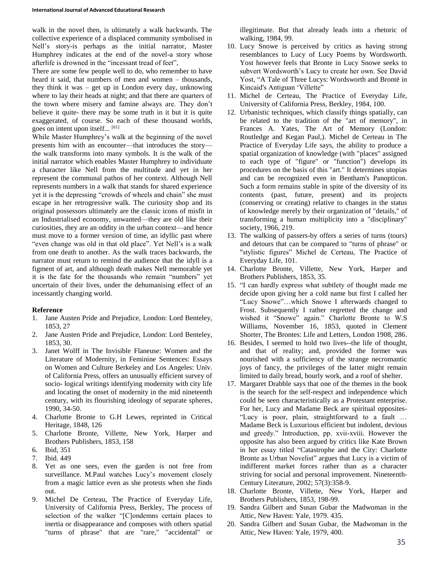walk in the novel then, is ultimately a walk backwards. The collective experience of a displaced community symbolised in Nell's story-is perhaps as the initial narrator, Master Humphrey indicates at the end of the novel-a story whose afterlife is drowned in the "incessant tread of feet",

There are some few people well to do, who remember to have heard it said, that numbers of men and women – thousands, they think it was – get up in London every day, unknowing where to lay their heads at night; and that there are quarters of the town where misery and famine always are. They don't believe it quite- there may be some truth in it but it is quite exaggerated, of course. So each of these thousand worlds, goes on intent upon itself... [61]

While Master Humphrey's walk at the beginning of the novel presents him with an encounter—that introduces the story the walk transforms into many symbols. It is the walk of the initial narrator which enables Master Humphrey to individuate a character like Nell from the multitude and yet in her represent the communal pathos of her context. Although Nell represents numbers in a walk that stands for shared experience yet it is the depressing "crowds of wheels and chain" she must escape in her retrogressive walk. The curiosity shop and its original possessors ultimately are the classic icons of misfit in an Industrialised economy, unwanted—they are old like their curiosities, they are an oddity in the urban context—and hence must move to a former version of time, an idyllic past where "even change was old in that old place". Yet Nell's is a walk from one death to another. As the walk traces backwards, the narrator must return to remind the audience that the idyll is a figment of art, and although death makes Nell memorable yet it is the fate for the thousands who remain "numbers" yet uncertain of their lives, under the dehumanising effect of an incessantly changing world.

## **Reference**

- 1. Jane Austen Pride and Prejudice, London: Lord Benteley, 1853, 27
- 2. Jane Austen Pride and Prejudice, London: Lord Benteley, 1853, 30.
- 3. Janet Wolff in The Invisible Flaneuse: Women and the Literature of Modernity, in Feminine Sentences: Essays on Women and Culture Berkeley and Los Angeles: Univ. of California Press, offers an unusually efficient survey of socio- logical writings identifying modernity with city life and locating the onset of modernity in the mid nineteenth century, with its flourishing ideology of separate spheres, 1990, 34-50.
- 4. Charlotte Bronte to G.H Lewes, reprinted in Critical Heritage, 1848, 126
- 5. Charlotte Bronte, Villette, New York, Harper and Brothers Publishers, 1853, 158
- 6. Ibid, 351
- 7. Ibid. 449
- 8. Yet as one sees, even the garden is not free from surveillance. M.Paul watches Lucy's movement closely from a magic lattice even as she protests when she finds out.
- 9. Michel De Certeau, The Practice of Everyday Life, University of California Press, Berkley, The process of selection of the walker "[C]ondemns certain places to inertia or disappearance and composes with others spatial "turns of phrase" that are "rare," "accidental" or

illegitimate. But that already leads into a rhetoric of walking, 1984, 99.

- 10. Lucy Snowe is perceived by critics as having strong resemblances to Lucy of Lucy Poems by Wordsworth. Yost however feels that Bronte in Lucy Snowe seeks to subvert Wordsworth's Lucy to create her own. See David Yost, "A Tale of Three Lucys: Wordsworth and Brontë in Kincaid's Antiguan 'Villette"
- 11. Michel de Certeau, The Practice of Everyday Life, University of California Press, Berkley, 1984, 100.
- 12. Urbanistic techniques, which classify things spatially, can be related to the tradition of the "art of memory", in Frances A. Yates, The Art of Memory (London: Routledge and Kegan Paul,). Michel de Certeau in The Practice of Everyday Life says, the ability to produce a spatial organization of knowledge (with "places" assigned to each type of "figure" or "function") develops its procedures on the basis of this "art." It determines utopias and can be recognized even in Bentham's Panopticon. Such a form remains stable in spite of the diversity of its contents (past, future, present) and its projects (conserving or creating) relative to changes in the status of knowledge merely by their organization of "details," of transforming a human multiplicity into a "disciplinary" society, 1966, 219.
- 13. The walking of passers-by offers a series of turns (tours) and detours that can be compared to "turns of phrase" or "stylistic figures" Michel de Certeau, The Practice of Everyday Life, 101.
- 14. Charlotte Bronte, Villette, New York, Harper and Brothers Publishers, 1853, 35.
- 15. "I can hardly express what subtlety of thought made me decide upon giving her a cold name but first I called her "Lucy Snowe"…which Snowe I afterwards changed to Frost. Subsequently I rather regretted the change and wished it "Snowe" again." Charlotte Bronte to W.S Williams, November 16, 1853, quoted in Clement Shorter, The Brontes: Life and Letters, London 1908, 286.
- 16. Besides, I seemed to hold two lives--the life of thought, and that of reality; and, provided the former was nourished with a sufficiency of the strange necromantic joys of fancy, the privileges of the latter might remain limited to daily bread, hourly work, and a roof of shelter.
- 17. Margaret Drabble says that one of the themes in the book is the search for the self-respect and independence which could be seen characteristically as a Protestant enterprise. For her, Lucy and Madame Beck are spiritual opposites- "Lucy is poor, plain, straightforward to a fault … Madame Beck is Luxurious efficient but indolent, devious and greedy." Introduction, pp. xvii-xviii. However the opposite has also been argued by critics like Kate Brown in her essay titled "Catastrophe and the City: Charlotte Bronte as Urban Novelist" argues that Lucy is a victim of indifferent market forces rather than as a character striving for social and personal improvement. Nineteenth-Century Literature, 2002; 57(3):358-9.
- 18. Charlotte Bronte, Villette, New York, Harper and Brothers Publishers, 1853, 198-99.
- 19. Sandra Gilbert and Susan Gubar the Madwoman in the Attic, New Haven: Yale, 1979. 435.
- 20. Sandra Gilbert and Susan Gubar, the Madwoman in the Attic, New Haven: Yale, 1979, 400.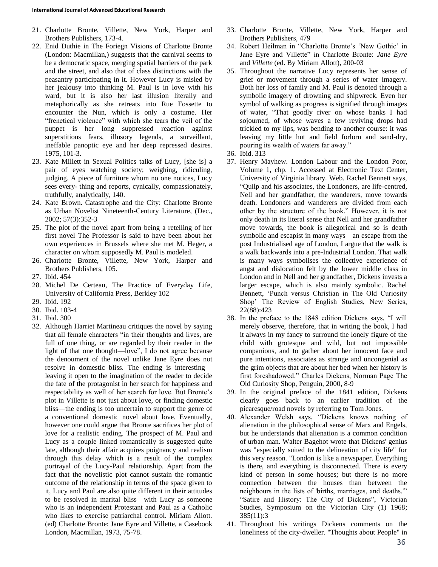- 21. Charlotte Bronte, Villette, New York, Harper and Brothers Publishers, 173-4.
- 22. Enid Duthie in The Foriegn Visions of Charlotte Bronte (London: Macmillan,) suggests that the carnival seems to be a democratic space, merging spatial barriers of the park and the street, and also that of class distinctions with the peasantry participating in it. However Lucy is misled by her jealousy into thinking M. Paul is in love with his ward, but it is also her last illusion literally and metaphorically as she retreats into Rue Fossette to encounter the Nun, which is only a costume. Her "frenetical violence" with which she tears the veil of the puppet is her long suppressed reaction against superstitious fears, illusory legends, a surveillant, ineffable panoptic eye and her deep repressed desires. 1975, 101-3.
- 23. Kate Millett in Sexual Politics talks of Lucy, [she is] a pair of eyes watching society; weighing, ridiculing, judging. A piece of furniture whom no one notices, Lucy sees every- thing and reports, cynically, compassionately, truthfully, analytically, 140.
- 24. Kate Brown. Catastrophe and the City: Charlotte Bronte as Urban Novelist Nineteenth-Century Literature, (Dec., 2002; 57(3):352-3
- 25. The plot of the novel apart from being a retelling of her first novel The Professor is said to have been about her own experiences in Brussels where she met M. Heger, a character on whom supposedly M. Paul is modeled.
- 26. Charlotte Bronte, Villette, New York, Harper and Brothers Publishers, 105.
- 27. Ibid. 454
- 28. Michel De Certeau, The Practice of Everyday Life, University of California Press, Berkley 102
- 29. Ibid. 192
- 30. Ibid. 103-4
- 31. Ibid. 300
- 32. Although Harriet Martineau critiques the novel by saying that all female characters "in their thoughts and lives, are full of one thing, or are regarded by their reader in the light of that one thought—love", I do not agree because the denoument of the novel unlike Jane Eyre does not resolve in domestic bliss. The ending is interesting leaving it open to the imagination of the reader to decide the fate of the protagonist in her search for happiness and respectability as well of her search for love. But Bronte's plot in Villette is not just about love, or finding domestic bliss—the ending is too uncertain to support the genre of a conventional domestic novel about love. Eventually, however one could argue that Bronte sacrifices her plot of love for a realistic ending. The prospect of M. Paul and Lucy as a couple linked romantically is suggested quite late, although their affair acquires poignancy and realism through this delay which is a result of the complex portrayal of the Lucy-Paul relationship. Apart from the fact that the novelistic plot cannot sustain the romantic outcome of the relationship in terms of the space given to it, Lucy and Paul are also quite different in their attitudes to be resolved in marital bliss—with Lucy as someone who is an independent Protestant and Paul as a Catholic who likes to exercise patriarchal control. Miriam Allott. (ed) Charlotte Bronte: Jane Eyre and Villette, a Casebook London, Macmillan, 1973, 75-78.
- 33. Charlotte Bronte, Villette, New York, Harper and Brothers Publishers, 479
- 34. Robert Heilman in "Charlotte Bronte's 'New Gothic' in Jane Eyre and Villette" in Charlotte Bronte: *Jane Eyre* and *Villette* (ed. By Miriam Allott), 200-03
- 35. Throughout the narrative Lucy represents her sense of grief or movement through a series of water imagery. Both her loss of family and M. Paul is denoted through a symbolic imagery of drowning and shipwreck. Even her symbol of walking as progress is signified through images of water, "That goodly river on whose banks I had sojourned, of whose waves a few reviving drops had trickled to my lips, was bending to another course: it was leaving my little hut and field forlorn and sand-dry, pouring its wealth of waters far away."
- 36. Ibid. 313
- 37. Henry Mayhew. London Labour and the London Poor, Volume 1, chp. 1. Accessed at Electronic Text Center, University of Virginia library. Web. Rachel Bennett says, "Quilp and his associates, the Londoners, are life-centred, Nell and her grandfather, the wanderers, move towards death. Londoners and wanderers are divided from each other by the structure of the book." However, it is not only death in its literal sense that Nell and her grandfather move towards, the book is allegorical and so is death symbolic and escapist in many ways—an escape from the post Industrialised age of London, I argue that the walk is a walk backwards into a pre-Industrial London. That walk is many ways symbolises the collective experience of angst and dislocation felt by the lower middle class in London and in Nell and her grandfather, Dickens invests a larger escape, which is also mainly symbolic. Rachel Bennett, 'Punch versus Christian in The Old Curiosity Shop' The Review of English Studies, New Series, 22(88):423
- 38. In the preface to the 1848 edition Dickens says, "I will merely observe, therefore, that in writing the book, I had it always in my fancy to surround the lonely figure of the child with grotesque and wild, but not impossible companions, and to gather about her innocent face and pure intentions, associates as strange and uncongenial as the grim objects that are about her bed when her history is first foreshadowed." Charles Dickens, Norman Page The Old Curiosity Shop, Penguin, 2000, 8-9
- 39. In the original preface of the 1841 edition, Dickens clearly goes back to an earlier tradition of the picaresque/road novels by referring to Tom Jones.
- 40. Alexander Welsh says, "Dickens knows nothing of alienation in the philosophical sense of Marx and Engels, but he understands that alienation is a common condition of urban man. Walter Bagehot wrote that Dickens' genius was "especially suited to the delineation of city life" for this very reason. "London is like a newspaper. Everything is there, and everything is disconnected. There is every kind of person in some houses; but there is no more connection between the houses than between the neighbours in the lists of 'births, marriages, and deaths.'" "Satire and History: The City of Dickens", Victorian Studies, Symposium on the Victorian City (1) 1968; 385(11):3
- 41. Throughout his writings Dickens comments on the loneliness of the city-dweller. "Thoughts about People" in